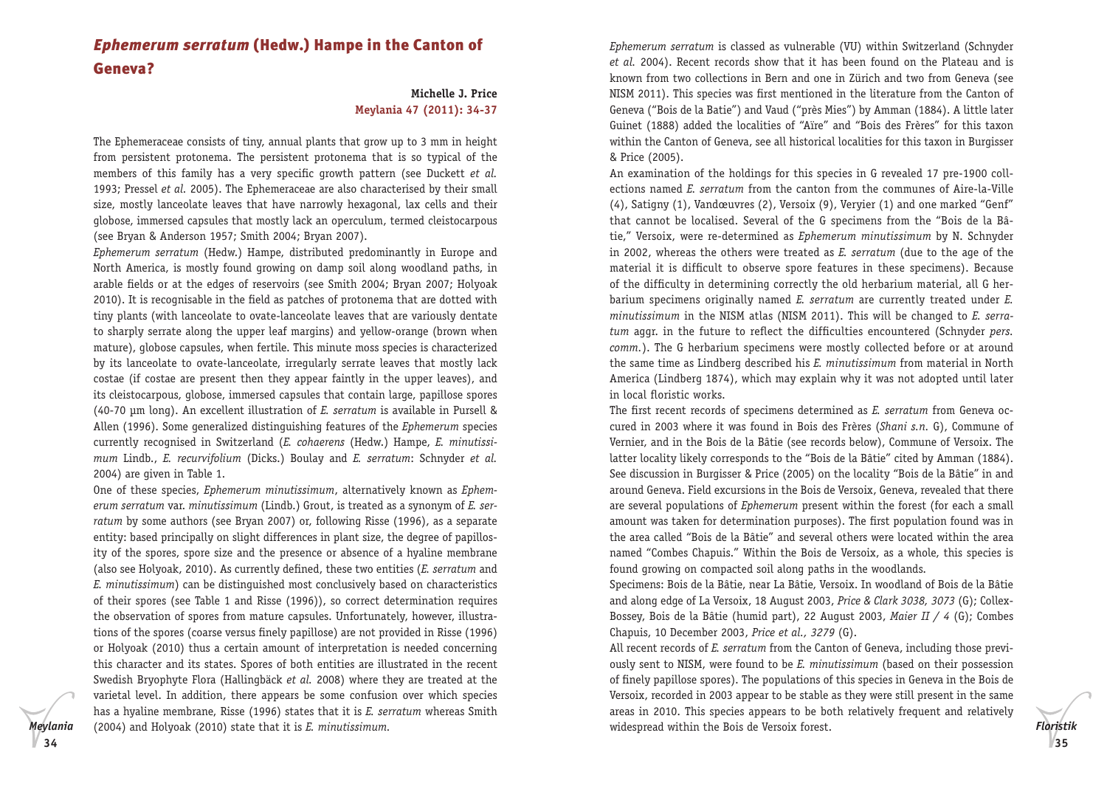# *Ephemerum serratum* (Hedw.) Hampe in the Canton of Geneva?

## **Michelle J. Price Meylania 47 (2011): 34-37**

The Ephemeraceae consists of tiny, annual plants that grow up to 3 mm in height from persistent protonema. The persistent protonema that is so typical of the members of this family has a very specific growth pattern (see Duckett *et al.* 1993; Pressel *et al.* 2005). The Ephemeraceae are also characterised by their small size, mostly lanceolate leaves that have narrowly hexagonal, lax cells and their globose, immersed capsules that mostly lack an operculum, termed cleistocarpous (see Bryan & Anderson 1957; Smith 2004; Bryan 2007).

*Ephemerum serratum* (Hedw.) Hampe, distributed predominantly in Europe and North America, is mostly found growing on damp soil along woodland paths, in arable fields or at the edges of reservoirs (see Smith 2004; Bryan 2007; Holyoak 2010). It is recognisable in the field as patches of protonema that are dotted with tiny plants (with lanceolate to ovate-lanceolate leaves that are variously dentate to sharply serrate along the upper leaf margins) and yellow-orange (brown when mature), globose capsules, when fertile. This minute moss species is characterized by its lanceolate to ovate-lanceolate, irregularly serrate leaves that mostly lack costae (if costae are present then they appear faintly in the upper leaves), and its cleistocarpous, globose, immersed capsules that contain large, papillose spores (40-70 μm long). An excellent illustration of *E. serratum* is available in Pursell & Allen (1996). Some generalized distinguishing features of the *Ephemerum* species currently recognised in Switzerland (*E. cohaerens* (Hedw.) Hampe, *E. minutissimum* Lindb., *E. recurvifolium* (Dicks.) Boulay and *E. serratum*: Schnyder *et al.* 2004) are given in Table 1.

One of these species, *Ephemerum minutissimum*, alternatively known as *Ephemerum serratum* var. *minutissimum* (Lindb.) Grout, is treated as a synonym of *E. serratum* by some authors (see Bryan 2007) or, following Risse (1996), as a separate entity: based principally on slight differences in plant size, the degree of papillosity of the spores, spore size and the presence or absence of a hyaline membrane (also see Holyoak, 2010). As currently defined, these two entities (*E. serratum* and *E. minutissimum*) can be distinguished most conclusively based on characteristics of their spores (see Table 1 and Risse (1996)), so correct determination requires the observation of spores from mature capsules. Unfortunately, however, illustrations of the spores (coarse versus finely papillose) are not provided in Risse (1996) or Holyoak (2010) thus a certain amount of interpretation is needed concerning this character and its states. Spores of both entities are illustrated in the recent Swedish Bryophyte Flora (Hallingbäck *et al.* 2008) where they are treated at the varietal level. In addition, there appears be some confusion over which species has a hyaline membrane, Risse (1996) states that it is *E. serratum* whereas Smith (2004) and Holyoak (2010) state that it is *E. minutissimum.*

*Ephemerum serratum* is classed as vulnerable (VU) within Switzerland (Schnyder *et al.* 2004). Recent records show that it has been found on the Plateau and is known from two collections in Bern and one in Zürich and two from Geneva (see NISM 2011). This species was first mentioned in the literature from the Canton of Geneva ("Bois de la Batie") and Vaud ("près Mies") by Amman (1884). A little later Guinet (1888) added the localities of "Aïre" and "Bois des Frères" for this taxon within the Canton of Geneva, see all historical localities for this taxon in Burgisser & Price (2005).

An examination of the holdings for this species in G revealed 17 pre-1900 collections named *E. serratum* from the canton from the communes of Aire-la-Ville (4), Satigny (1), Vandœuvres (2), Versoix (9), Veryier (1) and one marked "Genf" that cannot be localised. Several of the G specimens from the "Bois de la Bâtie," Versoix, were re-determined as *Ephemerum minutissimum* by N. Schnyder in 2002, whereas the others were treated as *E. serratum* (due to the age of the material it is difficult to observe spore features in these specimens). Because of the difficulty in determining correctly the old herbarium material, all G herbarium specimens originally named *E. serratum* are currently treated under *E. minutissimum* in the NISM atlas (NISM 2011). This will be changed to *E. serratum* aggr. in the future to reflect the difficulties encountered (Schnyder *pers. comm.*). The G herbarium specimens were mostly collected before or at around the same time as Lindberg described his *E. minutissimum* from material in North America (Lindberg 1874), which may explain why it was not adopted until later in local floristic works.

The first recent records of specimens determined as *E. serratum* from Geneva occured in 2003 where it was found in Bois des Frères (*Shani s.n.* G), Commune of Vernier, and in the Bois de la Bâtie (see records below), Commune of Versoix. The latter locality likely corresponds to the "Bois de la Bâtie" cited by Amman (1884). See discussion in Burgisser & Price (2005) on the locality "Bois de la Bâtie" in and around Geneva. Field excursions in the Bois de Versoix, Geneva, revealed that there are several populations of *Ephemerum* present within the forest (for each a small amount was taken for determination purposes). The first population found was in the area called "Bois de la Bâtie" and several others were located within the area named "Combes Chapuis." Within the Bois de Versoix, as a whole, this species is found growing on compacted soil along paths in the woodlands.

Specimens: Bois de la Bâtie, near La Bâtie, Versoix. In woodland of Bois de la Bâtie and along edge of La Versoix, 18 August 2003, *Price & Clark 3038, 3073* (G); Collex-Bossey, Bois de la Bâtie (humid part), 22 August 2003, *Maier II / 4* (G); Combes Chapuis, 10 December 2003, *Price et al., 3279* (G).

All recent records of *E. serratum* from the Canton of Geneva, including those previously sent to NISM, were found to be *E. minutissimum* (based on their possession of finely papillose spores). The populations of this species in Geneva in the Bois de Versoix, recorded in 2003 appear to be stable as they were still present in the same areas in 2010. This species appears to be both relatively frequent and relatively widespread within the Bois de Versoix forest.

*Floristik*